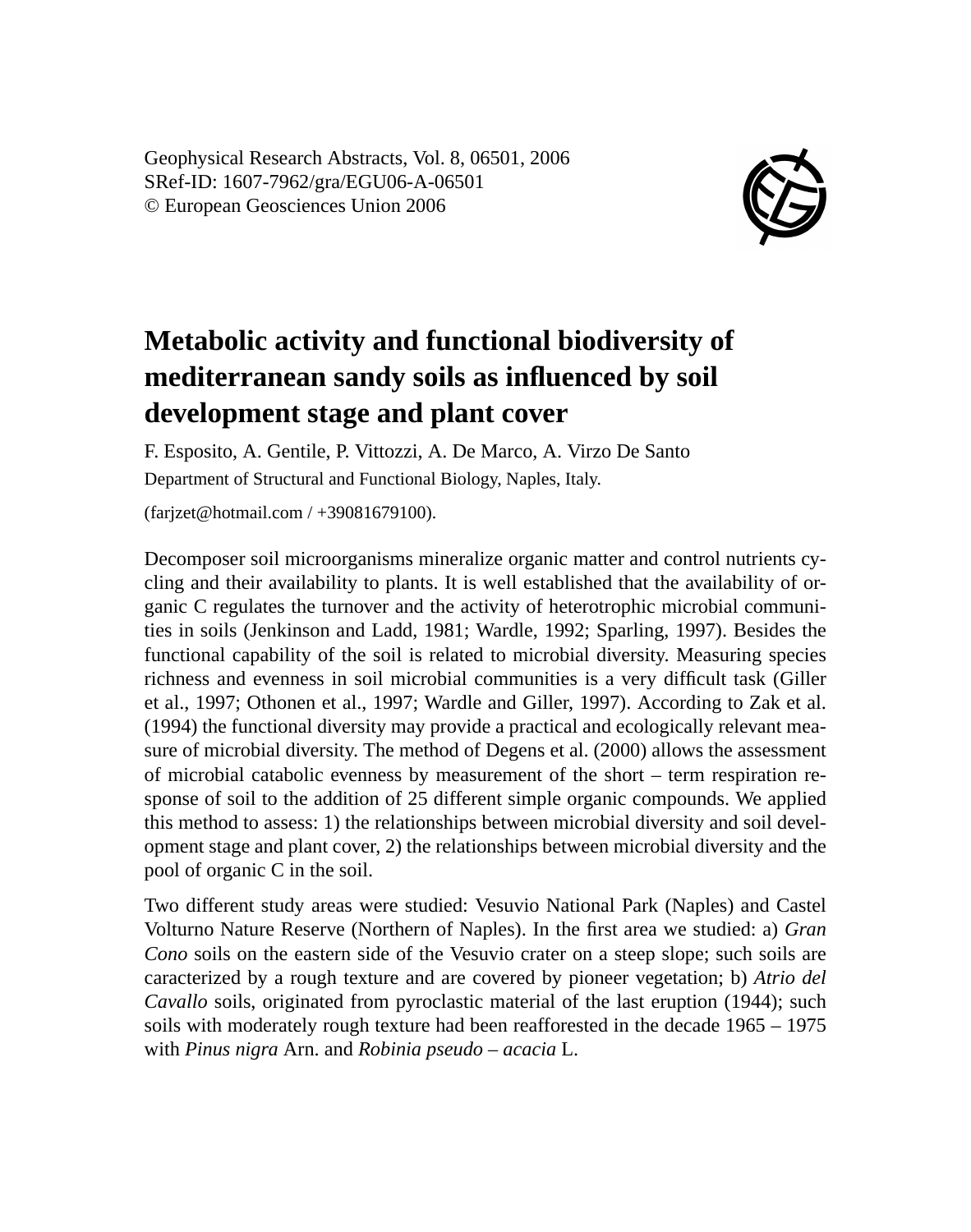Geophysical Research Abstracts, Vol. 8, 06501, 2006 SRef-ID: 1607-7962/gra/EGU06-A-06501 © European Geosciences Union 2006



## **Metabolic activity and functional biodiversity of mediterranean sandy soils as influenced by soil development stage and plant cover**

F. Esposito, A. Gentile, P. Vittozzi, A. De Marco, A. Virzo De Santo Department of Structural and Functional Biology, Naples, Italy.

(farjzet@hotmail.com / +39081679100).

Decomposer soil microorganisms mineralize organic matter and control nutrients cycling and their availability to plants. It is well established that the availability of organic C regulates the turnover and the activity of heterotrophic microbial communities in soils (Jenkinson and Ladd, 1981; Wardle, 1992; Sparling, 1997). Besides the functional capability of the soil is related to microbial diversity. Measuring species richness and evenness in soil microbial communities is a very difficult task (Giller et al., 1997; Othonen et al., 1997; Wardle and Giller, 1997). According to Zak et al. (1994) the functional diversity may provide a practical and ecologically relevant measure of microbial diversity. The method of Degens et al. (2000) allows the assessment of microbial catabolic evenness by measurement of the short – term respiration response of soil to the addition of 25 different simple organic compounds. We applied this method to assess: 1) the relationships between microbial diversity and soil development stage and plant cover, 2) the relationships between microbial diversity and the pool of organic C in the soil.

Two different study areas were studied: Vesuvio National Park (Naples) and Castel Volturno Nature Reserve (Northern of Naples). In the first area we studied: a) *Gran Cono* soils on the eastern side of the Vesuvio crater on a steep slope; such soils are caracterized by a rough texture and are covered by pioneer vegetation; b) *Atrio del Cavallo* soils, originated from pyroclastic material of the last eruption (1944); such soils with moderately rough texture had been reafforested in the decade 1965 – 1975 with *Pinus nigra* Arn. and *Robinia pseudo – acacia* L.